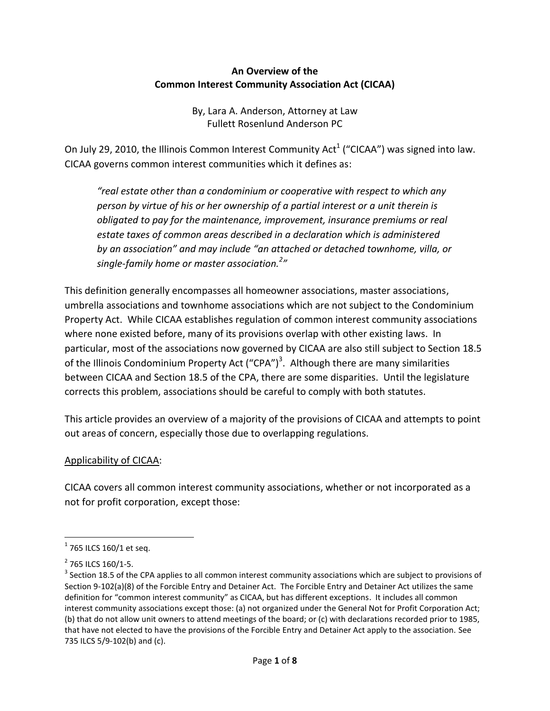#### **An Overview of the Common Interest Community Association Act (CICAA)**

By, Lara A. Anderson, Attorney at Law Fullett Rosenlund Anderson PC

On July 29, 2010, the Illinois Common Interest Community Act<sup>1</sup> ("CICAA") was signed into law. CICAA governs common interest communities which it defines as:

*"real estate other than a condominium or cooperative with respect to which any person by virtue of his or her ownership of a partial interest or a unit therein is obligated to pay for the maintenance, improvement, insurance premiums or real estate taxes of common areas described in a declaration which is administered by an association" and may include "an attached or detached townhome, villa, or single-family home or master association.<sup>2</sup> "*

This definition generally encompasses all homeowner associations, master associations, umbrella associations and townhome associations which are not subject to the Condominium Property Act. While CICAA establishes regulation of common interest community associations where none existed before, many of its provisions overlap with other existing laws. In particular, most of the associations now governed by CICAA are also still subject to Section 18.5 of the Illinois Condominium Property Act ("CPA")<sup>3</sup>. Although there are many similarities between CICAA and Section 18.5 of the CPA, there are some disparities. Until the legislature corrects this problem, associations should be careful to comply with both statutes.

This article provides an overview of a majority of the provisions of CICAA and attempts to point out areas of concern, especially those due to overlapping regulations.

#### Applicability of CICAA:

CICAA covers all common interest community associations, whether or not incorporated as a not for profit corporation, except those:

 $\overline{a}$ 

 $1$  765 ILCS 160/1 et seq.

 $2$  765 ILCS 160/1-5.

 $3$  Section 18.5 of the CPA applies to all common interest community associations which are subject to provisions of Section 9-102(a)(8) of the Forcible Entry and Detainer Act. The Forcible Entry and Detainer Act utilizes the same definition for "common interest community" as CICAA, but has different exceptions. It includes all common interest community associations except those: (a) not organized under the General Not for Profit Corporation Act; (b) that do not allow unit owners to attend meetings of the board; or (c) with declarations recorded prior to 1985, that have not elected to have the provisions of the Forcible Entry and Detainer Act apply to the association. See 735 ILCS 5/9-102(b) and (c).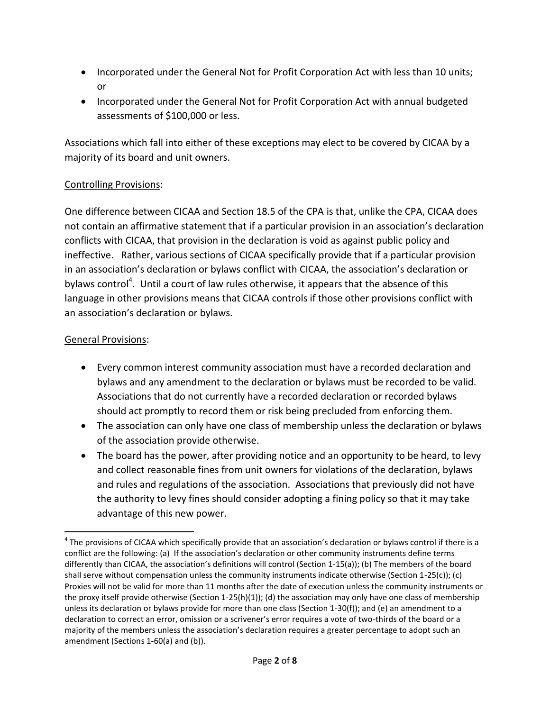- Incorporated under the General Not for Profit Corporation Act with less than 10 units; or
- Incorporated under the General Not for Profit Corporation Act with annual budgeted assessments of \$100,000 or less.

Associations which fall into either of these exceptions may elect to be covered by CICAA by a majority of its board and unit owners.

# Controlling Provisions:

One difference between CICAA and Section 18.5 of the CPA is that, unlike the CPA, CICAA does not contain an affirmative statement that if a particular provision in an association's declaration conflicts with CICAA, that provision in the declaration is void as against public policy and ineffective. Rather, various sections of CICAA specifically provide that if a particular provision in an association's declaration or bylaws conflict with CICAA, the association's declaration or bylaws control<sup>4</sup>. Until a court of law rules otherwise, it appears that the absence of this language in other provisions means that CICAA controls if those other provisions conflict with an association's declaration or bylaws.

# General Provisions:

 $\overline{\phantom{a}}$ 

- Every common interest community association must have a recorded declaration and bylaws and any amendment to the declaration or bylaws must be recorded to be valid. Associations that do not currently have a recorded declaration or recorded bylaws should act promptly to record them or risk being precluded from enforcing them.
- The association can only have one class of membership unless the declaration or bylaws of the association provide otherwise.
- The board has the power, after providing notice and an opportunity to be heard, to levy and collect reasonable fines from unit owners for violations of the declaration, bylaws and rules and regulations of the association. Associations that previously did not have the authority to levy fines should consider adopting a fining policy so that it may take advantage of this new power.

 $^4$  The provisions of CICAA which specifically provide that an association's declaration or bylaws control if there is a conflict are the following: (a) If the association's declaration or other community instruments define terms differently than CICAA, the association's definitions will control (Section 1-15(a)); (b) The members of the board shall serve without compensation unless the community instruments indicate otherwise (Section 1-25(c)); (c) Proxies will not be valid for more than 11 months after the date of execution unless the community instruments or the proxy itself provide otherwise (Section 1-25(h)(1)); (d) the association may only have one class of membership unless its declaration or bylaws provide for more than one class (Section 1-30(f)); and (e) an amendment to a declaration to correct an error, omission or a scrivener's error requires a vote of two-thirds of the board or a majority of the members unless the association's declaration requires a greater percentage to adopt such an amendment (Sections 1-60(a) and (b)).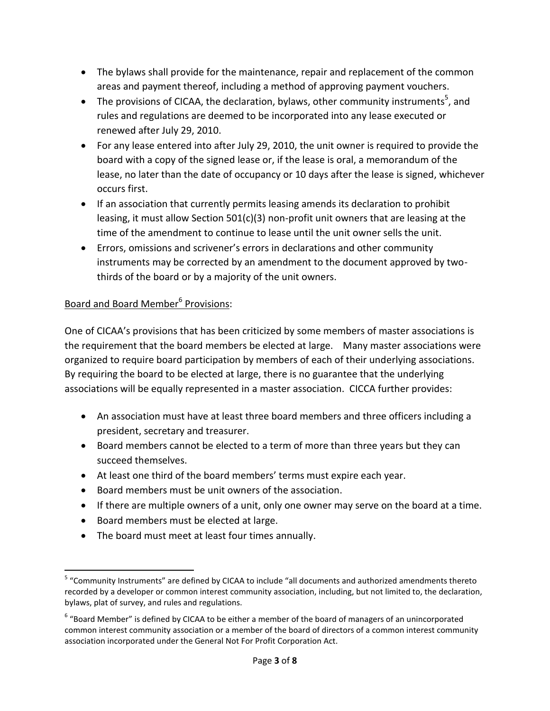- The bylaws shall provide for the maintenance, repair and replacement of the common areas and payment thereof, including a method of approving payment vouchers.
- The provisions of CICAA, the declaration, bylaws, other community instruments<sup>5</sup>, and rules and regulations are deemed to be incorporated into any lease executed or renewed after July 29, 2010.
- For any lease entered into after July 29, 2010, the unit owner is required to provide the board with a copy of the signed lease or, if the lease is oral, a memorandum of the lease, no later than the date of occupancy or 10 days after the lease is signed, whichever occurs first.
- If an association that currently permits leasing amends its declaration to prohibit leasing, it must allow Section 501(c)(3) non-profit unit owners that are leasing at the time of the amendment to continue to lease until the unit owner sells the unit.
- Errors, omissions and scrivener's errors in declarations and other community instruments may be corrected by an amendment to the document approved by twothirds of the board or by a majority of the unit owners.

# Board and Board Member<sup>6</sup> Provisions:

One of CICAA's provisions that has been criticized by some members of master associations is the requirement that the board members be elected at large. Many master associations were organized to require board participation by members of each of their underlying associations. By requiring the board to be elected at large, there is no guarantee that the underlying associations will be equally represented in a master association. CICCA further provides:

- An association must have at least three board members and three officers including a president, secretary and treasurer.
- Board members cannot be elected to a term of more than three years but they can succeed themselves.
- At least one third of the board members' terms must expire each year.
- Board members must be unit owners of the association.
- If there are multiple owners of a unit, only one owner may serve on the board at a time.
- Board members must be elected at large.
- The board must meet at least four times annually.

 $\overline{\phantom{a}}$ <sup>5</sup> "Community Instruments" are defined by CICAA to include "all documents and authorized amendments thereto recorded by a developer or common interest community association, including, but not limited to, the declaration, bylaws, plat of survey, and rules and regulations.

 $6\degree$ Board Member" is defined by CICAA to be either a member of the board of managers of an unincorporated common interest community association or a member of the board of directors of a common interest community association incorporated under the General Not For Profit Corporation Act.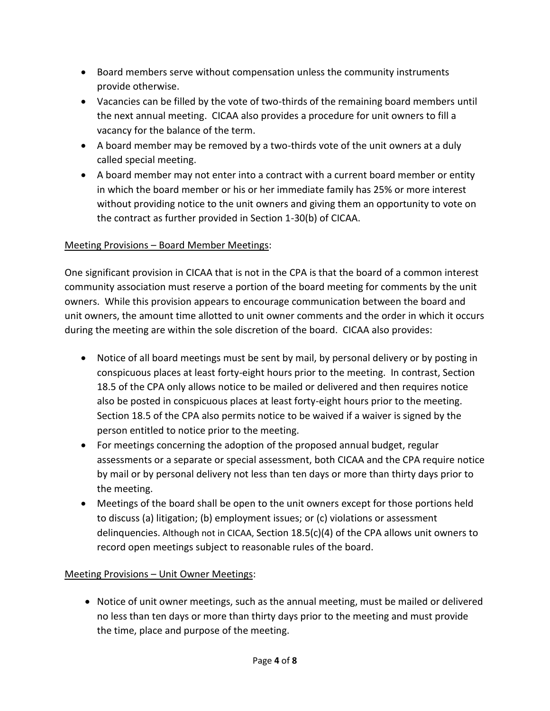- Board members serve without compensation unless the community instruments provide otherwise.
- Vacancies can be filled by the vote of two-thirds of the remaining board members until the next annual meeting. CICAA also provides a procedure for unit owners to fill a vacancy for the balance of the term.
- A board member may be removed by a two-thirds vote of the unit owners at a duly called special meeting.
- A board member may not enter into a contract with a current board member or entity in which the board member or his or her immediate family has 25% or more interest without providing notice to the unit owners and giving them an opportunity to vote on the contract as further provided in Section 1-30(b) of CICAA.

### Meeting Provisions – Board Member Meetings:

One significant provision in CICAA that is not in the CPA is that the board of a common interest community association must reserve a portion of the board meeting for comments by the unit owners. While this provision appears to encourage communication between the board and unit owners, the amount time allotted to unit owner comments and the order in which it occurs during the meeting are within the sole discretion of the board. CICAA also provides:

- Notice of all board meetings must be sent by mail, by personal delivery or by posting in conspicuous places at least forty-eight hours prior to the meeting. In contrast, Section 18.5 of the CPA only allows notice to be mailed or delivered and then requires notice also be posted in conspicuous places at least forty-eight hours prior to the meeting. Section 18.5 of the CPA also permits notice to be waived if a waiver is signed by the person entitled to notice prior to the meeting.
- For meetings concerning the adoption of the proposed annual budget, regular assessments or a separate or special assessment, both CICAA and the CPA require notice by mail or by personal delivery not less than ten days or more than thirty days prior to the meeting.
- Meetings of the board shall be open to the unit owners except for those portions held to discuss (a) litigation; (b) employment issues; or (c) violations or assessment delinquencies. Although not in CICAA, Section 18.5(c)(4) of the CPA allows unit owners to record open meetings subject to reasonable rules of the board.

### Meeting Provisions – Unit Owner Meetings:

 Notice of unit owner meetings, such as the annual meeting, must be mailed or delivered no less than ten days or more than thirty days prior to the meeting and must provide the time, place and purpose of the meeting.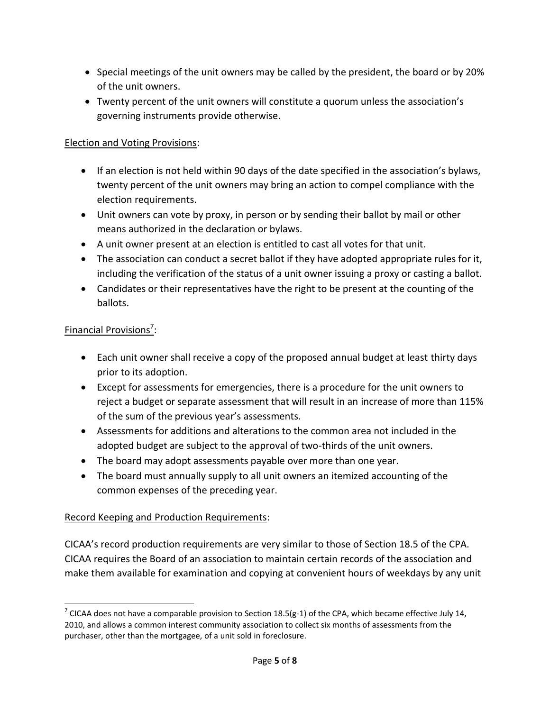- Special meetings of the unit owners may be called by the president, the board or by 20% of the unit owners.
- Twenty percent of the unit owners will constitute a quorum unless the association's governing instruments provide otherwise.

### Election and Voting Provisions:

- If an election is not held within 90 days of the date specified in the association's bylaws, twenty percent of the unit owners may bring an action to compel compliance with the election requirements.
- Unit owners can vote by proxy, in person or by sending their ballot by mail or other means authorized in the declaration or bylaws.
- A unit owner present at an election is entitled to cast all votes for that unit.
- The association can conduct a secret ballot if they have adopted appropriate rules for it, including the verification of the status of a unit owner issuing a proxy or casting a ballot.
- Candidates or their representatives have the right to be present at the counting of the ballots.

# Financial Provisions<sup>7</sup>:

l

- Each unit owner shall receive a copy of the proposed annual budget at least thirty days prior to its adoption.
- Except for assessments for emergencies, there is a procedure for the unit owners to reject a budget or separate assessment that will result in an increase of more than 115% of the sum of the previous year's assessments.
- Assessments for additions and alterations to the common area not included in the adopted budget are subject to the approval of two-thirds of the unit owners.
- The board may adopt assessments payable over more than one year.
- The board must annually supply to all unit owners an itemized accounting of the common expenses of the preceding year.

### Record Keeping and Production Requirements:

CICAA's record production requirements are very similar to those of Section 18.5 of the CPA. CICAA requires the Board of an association to maintain certain records of the association and make them available for examination and copying at convenient hours of weekdays by any unit

<sup>&</sup>lt;sup>7</sup> CICAA does not have a comparable provision to Section 18.5(g-1) of the CPA, which became effective July 14, 2010, and allows a common interest community association to collect six months of assessments from the purchaser, other than the mortgagee, of a unit sold in foreclosure.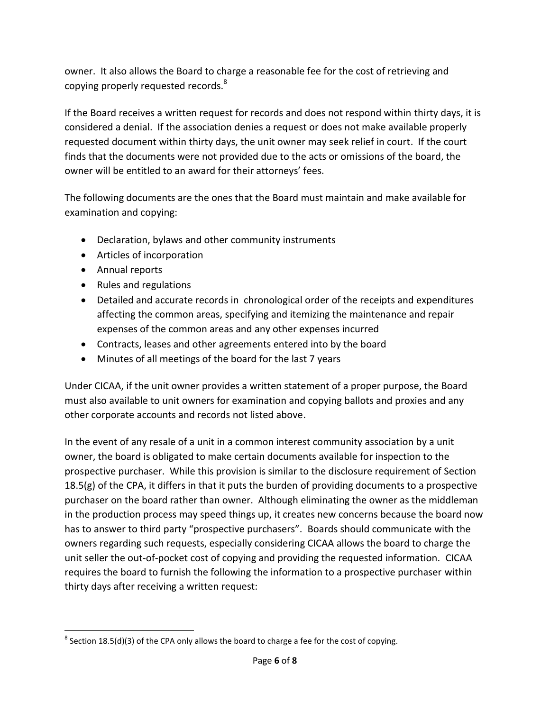owner. It also allows the Board to charge a reasonable fee for the cost of retrieving and copying properly requested records.<sup>8</sup>

If the Board receives a written request for records and does not respond within thirty days, it is considered a denial. If the association denies a request or does not make available properly requested document within thirty days, the unit owner may seek relief in court. If the court finds that the documents were not provided due to the acts or omissions of the board, the owner will be entitled to an award for their attorneys' fees.

The following documents are the ones that the Board must maintain and make available for examination and copying:

- Declaration, bylaws and other community instruments
- Articles of incorporation
- Annual reports
- Rules and regulations
- Detailed and accurate records in chronological order of the receipts and expenditures affecting the common areas, specifying and itemizing the maintenance and repair expenses of the common areas and any other expenses incurred
- Contracts, leases and other agreements entered into by the board
- Minutes of all meetings of the board for the last 7 years

Under CICAA, if the unit owner provides a written statement of a proper purpose, the Board must also available to unit owners for examination and copying ballots and proxies and any other corporate accounts and records not listed above.

In the event of any resale of a unit in a common interest community association by a unit owner, the board is obligated to make certain documents available for inspection to the prospective purchaser. While this provision is similar to the disclosure requirement of Section 18.5(g) of the CPA, it differs in that it puts the burden of providing documents to a prospective purchaser on the board rather than owner. Although eliminating the owner as the middleman in the production process may speed things up, it creates new concerns because the board now has to answer to third party "prospective purchasers". Boards should communicate with the owners regarding such requests, especially considering CICAA allows the board to charge the unit seller the out-of-pocket cost of copying and providing the requested information. CICAA requires the board to furnish the following the information to a prospective purchaser within thirty days after receiving a written request:

 $\overline{\phantom{a}}$  $^8$  Section 18.5(d)(3) of the CPA only allows the board to charge a fee for the cost of copying.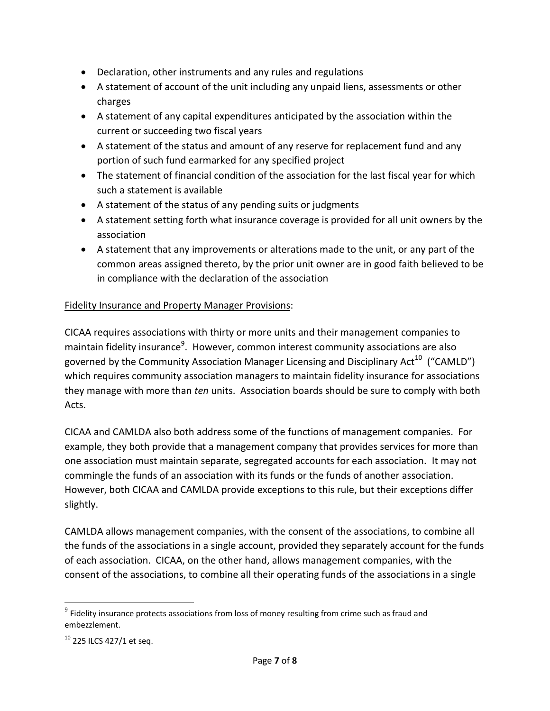- Declaration, other instruments and any rules and regulations
- A statement of account of the unit including any unpaid liens, assessments or other charges
- A statement of any capital expenditures anticipated by the association within the current or succeeding two fiscal years
- A statement of the status and amount of any reserve for replacement fund and any portion of such fund earmarked for any specified project
- The statement of financial condition of the association for the last fiscal year for which such a statement is available
- A statement of the status of any pending suits or judgments
- A statement setting forth what insurance coverage is provided for all unit owners by the association
- A statement that any improvements or alterations made to the unit, or any part of the common areas assigned thereto, by the prior unit owner are in good faith believed to be in compliance with the declaration of the association

#### Fidelity Insurance and Property Manager Provisions:

CICAA requires associations with thirty or more units and their management companies to maintain fidelity insurance<sup>9</sup>. However, common interest community associations are also governed by the Community Association Manager Licensing and Disciplinary Act<sup>10</sup> ("CAMLD") which requires community association managers to maintain fidelity insurance for associations they manage with more than *ten* units. Association boards should be sure to comply with both Acts.

CICAA and CAMLDA also both address some of the functions of management companies. For example, they both provide that a management company that provides services for more than one association must maintain separate, segregated accounts for each association. It may not commingle the funds of an association with its funds or the funds of another association. However, both CICAA and CAMLDA provide exceptions to this rule, but their exceptions differ slightly.

CAMLDA allows management companies, with the consent of the associations, to combine all the funds of the associations in a single account, provided they separately account for the funds of each association. CICAA, on the other hand, allows management companies, with the consent of the associations, to combine all their operating funds of the associations in a single

 $\overline{a}$ 

 $9$  Fidelity insurance protects associations from loss of money resulting from crime such as fraud and embezzlement.

 $10$  225 ILCS 427/1 et seq.